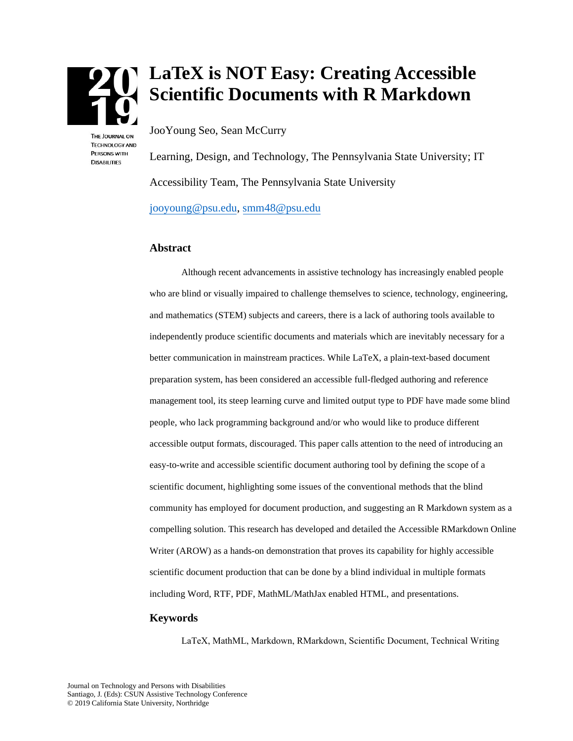

**TECHNOLOGY AND PERSONS WITH DISABILITIES** 

# **LaTeX is NOT Easy: Creating Accessible Scientific Documents with R Markdown**

JooYoung Seo, Sean McCurry

Learning, Design, and Technology, The Pennsylvania State University; IT Accessibility Team, The Pennsylvania State University [jooyoung@psu.edu,](mailto:jooyoung@psu.edu) [smm48@psu.edu](mailto:smm48@psu.edu) 

#### **Abstract**

Although recent advancements in assistive technology has increasingly enabled people who are blind or visually impaired to challenge themselves to science, technology, engineering, and mathematics (STEM) subjects and careers, there is a lack of authoring tools available to independently produce scientific documents and materials which are inevitably necessary for a better communication in mainstream practices. While LaTeX, a plain-text-based document preparation system, has been considered an accessible full-fledged authoring and reference management tool, its steep learning curve and limited output type to PDF have made some blind people, who lack programming background and/or who would like to produce different accessible output formats, discouraged. This paper calls attention to the need of introducing an easy-to-write and accessible scientific document authoring tool by defining the scope of a scientific document, highlighting some issues of the conventional methods that the blind community has employed for document production, and suggesting an R Markdown system as a compelling solution. This research has developed and detailed the Accessible RMarkdown Online Writer (AROW) as a hands-on demonstration that proves its capability for highly accessible scientific document production that can be done by a blind individual in multiple formats including Word, RTF, PDF, MathML/MathJax enabled HTML, and presentations.

#### **Keywords**

LaTeX, MathML, Markdown, RMarkdown, Scientific Document, Technical Writing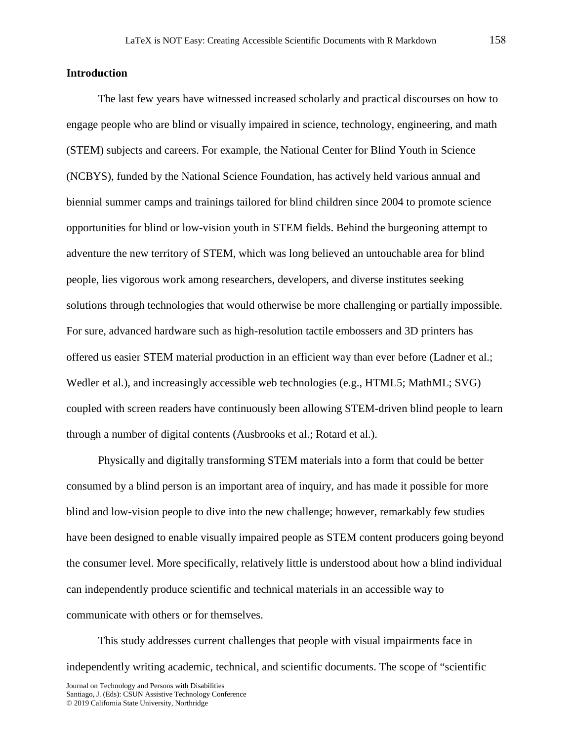# **Introduction**

The last few years have witnessed increased scholarly and practical discourses on how to engage people who are blind or visually impaired in science, technology, engineering, and math (STEM) subjects and careers. For example, the National Center for Blind Youth in Science (NCBYS), funded by the National Science Foundation, has actively held various annual and biennial summer camps and trainings tailored for blind children since 2004 to promote science opportunities for blind or low-vision youth in STEM fields. Behind the burgeoning attempt to adventure the new territory of STEM, which was long believed an untouchable area for blind people, lies vigorous work among researchers, developers, and diverse institutes seeking solutions through technologies that would otherwise be more challenging or partially impossible. For sure, advanced hardware such as high-resolution tactile embossers and 3D printers has offered us easier STEM material production in an efficient way than ever before (Ladner et al.; Wedler et al.), and increasingly accessible web technologies (e.g., HTML5; MathML; SVG) coupled with screen readers have continuously been allowing STEM-driven blind people to learn through a number of digital contents (Ausbrooks et al.; Rotard et al.).

Physically and digitally transforming STEM materials into a form that could be better consumed by a blind person is an important area of inquiry, and has made it possible for more blind and low-vision people to dive into the new challenge; however, remarkably few studies have been designed to enable visually impaired people as STEM content producers going beyond the consumer level. More specifically, relatively little is understood about how a blind individual can independently produce scientific and technical materials in an accessible way to communicate with others or for themselves.

This study addresses current challenges that people with visual impairments face in independently writing academic, technical, and scientific documents. The scope of "scientific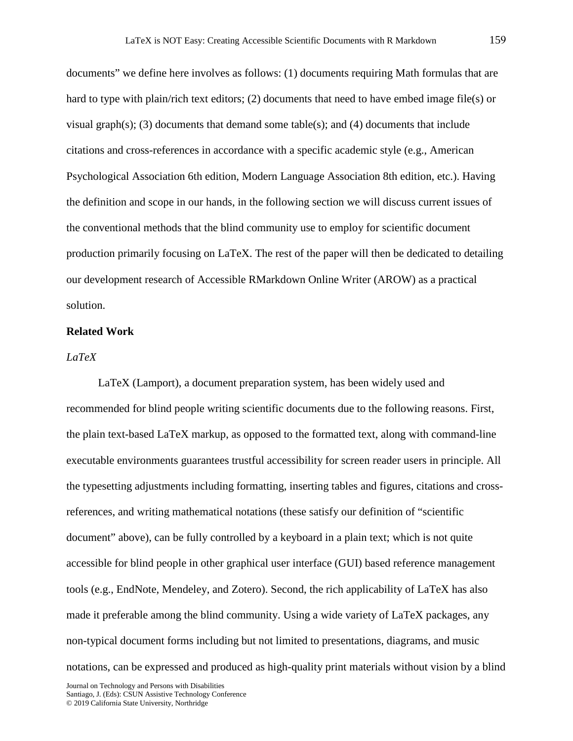documents" we define here involves as follows: (1) documents requiring Math formulas that are hard to type with plain/rich text editors; (2) documents that need to have embed image file(s) or visual graph(s); (3) documents that demand some table(s); and (4) documents that include citations and cross-references in accordance with a specific academic style (e.g., American Psychological Association 6th edition, Modern Language Association 8th edition, etc.). Having the definition and scope in our hands, in the following section we will discuss current issues of the conventional methods that the blind community use to employ for scientific document production primarily focusing on LaTeX. The rest of the paper will then be dedicated to detailing our development research of Accessible RMarkdown Online Writer (AROW) as a practical solution.

#### **Related Work**

# *LaTeX*

LaTeX (Lamport), a document preparation system, has been widely used and recommended for blind people writing scientific documents due to the following reasons. First, the plain text-based LaTeX markup, as opposed to the formatted text, along with command-line executable environments guarantees trustful accessibility for screen reader users in principle. All the typesetting adjustments including formatting, inserting tables and figures, citations and crossreferences, and writing mathematical notations (these satisfy our definition of "scientific document" above), can be fully controlled by a keyboard in a plain text; which is not quite accessible for blind people in other graphical user interface (GUI) based reference management tools (e.g., EndNote, Mendeley, and Zotero). Second, the rich applicability of LaTeX has also made it preferable among the blind community. Using a wide variety of LaTeX packages, any non-typical document forms including but not limited to presentations, diagrams, and music notations, can be expressed and produced as high-quality print materials without vision by a blind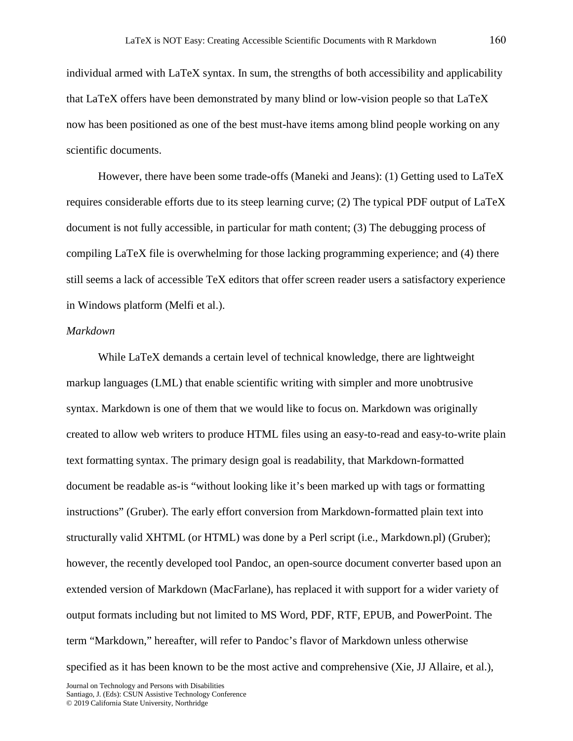individual armed with LaTeX syntax. In sum, the strengths of both accessibility and applicability that LaTeX offers have been demonstrated by many blind or low-vision people so that LaTeX now has been positioned as one of the best must-have items among blind people working on any scientific documents.

However, there have been some trade-offs (Maneki and Jeans): (1) Getting used to LaTeX requires considerable efforts due to its steep learning curve; (2) The typical PDF output of LaTeX document is not fully accessible, in particular for math content; (3) The debugging process of compiling LaTeX file is overwhelming for those lacking programming experience; and (4) there still seems a lack of accessible TeX editors that offer screen reader users a satisfactory experience in Windows platform (Melfi et al.).

#### *Markdown*

While LaTeX demands a certain level of technical knowledge, there are lightweight markup languages (LML) that enable scientific writing with simpler and more unobtrusive syntax. Markdown is one of them that we would like to focus on. Markdown was originally created to allow web writers to produce HTML files using an easy-to-read and easy-to-write plain text formatting syntax. The primary design goal is readability, that Markdown-formatted document be readable as-is "without looking like it's been marked up with tags or formatting instructions" (Gruber). The early effort conversion from Markdown-formatted plain text into structurally valid XHTML (or HTML) was done by a Perl script (i.e., Markdown.pl) (Gruber); however, the recently developed tool Pandoc, an open-source document converter based upon an extended version of Markdown (MacFarlane), has replaced it with support for a wider variety of output formats including but not limited to MS Word, PDF, RTF, EPUB, and PowerPoint. The term "Markdown," hereafter, will refer to Pandoc's flavor of Markdown unless otherwise specified as it has been known to be the most active and comprehensive (Xie, JJ Allaire, et al.),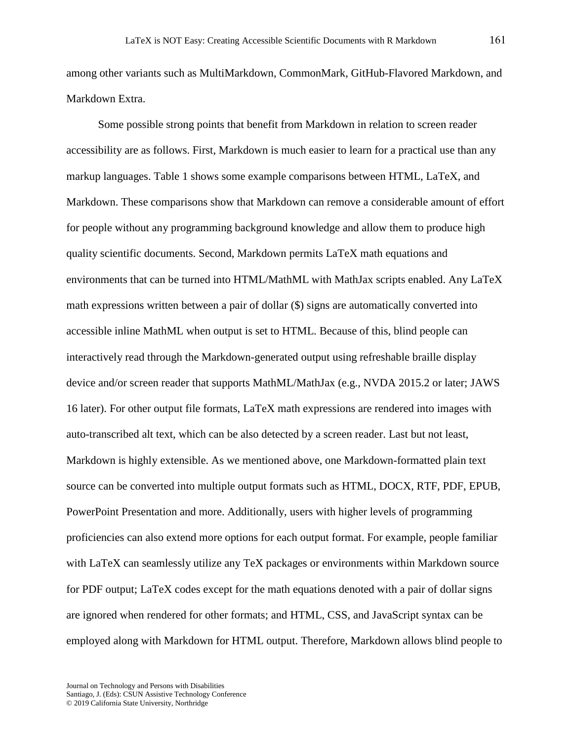among other variants such as MultiMarkdown, CommonMark, GitHub-Flavored Markdown, and Markdown Extra.

Some possible strong points that benefit from Markdown in relation to screen reader accessibility are as follows. First, Markdown is much easier to learn for a practical use than any markup languages. Table 1 shows some example comparisons between HTML, LaTeX, and Markdown. These comparisons show that Markdown can remove a considerable amount of effort for people without any programming background knowledge and allow them to produce high quality scientific documents. Second, Markdown permits LaTeX math equations and environments that can be turned into HTML/MathML with MathJax scripts enabled. Any LaTeX math expressions written between a pair of dollar (\$) signs are automatically converted into accessible inline MathML when output is set to HTML. Because of this, blind people can interactively read through the Markdown-generated output using refreshable braille display device and/or screen reader that supports MathML/MathJax (e.g., NVDA 2015.2 or later; JAWS 16 later). For other output file formats, LaTeX math expressions are rendered into images with auto-transcribed alt text, which can be also detected by a screen reader. Last but not least, Markdown is highly extensible. As we mentioned above, one Markdown-formatted plain text source can be converted into multiple output formats such as HTML, DOCX, RTF, PDF, EPUB, PowerPoint Presentation and more. Additionally, users with higher levels of programming proficiencies can also extend more options for each output format. For example, people familiar with LaTeX can seamlessly utilize any TeX packages or environments within Markdown source for PDF output; LaTeX codes except for the math equations denoted with a pair of dollar signs are ignored when rendered for other formats; and HTML, CSS, and JavaScript syntax can be employed along with Markdown for HTML output. Therefore, Markdown allows blind people to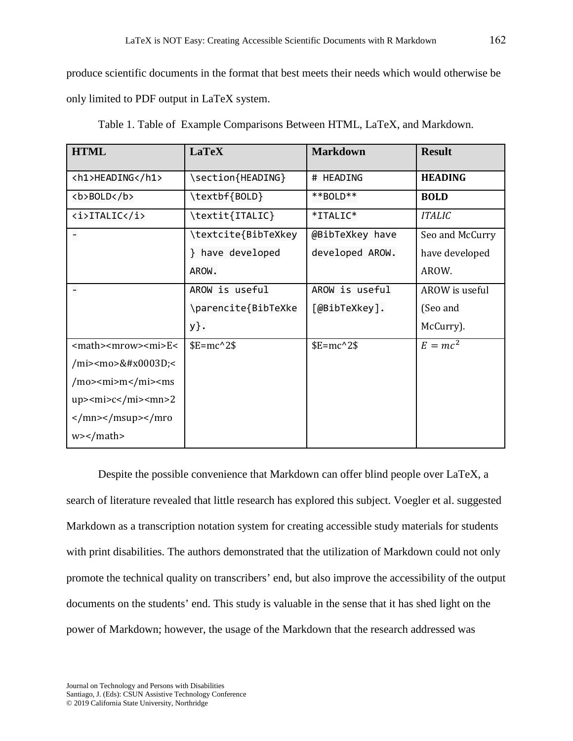produce scientific documents in the format that best meets their needs which would otherwise be only limited to PDF output in LaTeX system.

| <b>HTML</b>                                                  | <b>LaTeX</b>        | <b>Markdown</b> | <b>Result</b>   |
|--------------------------------------------------------------|---------------------|-----------------|-----------------|
| <h1>HEADING</h1>                                             | \section{HEADING}   | # HEADING       | <b>HEADING</b>  |
| <b>BOLD</b>                                                  | \textbf{BOLD}       | **BOLD**        | <b>BOLD</b>     |
| <i>ITALIC</i>                                                | \textit{ITALIC}     | *ITALIC*        | <b>ITALIC</b>   |
| $\overline{\phantom{0}}$                                     | \textcite{BibTeXkey | @BibTeXkey have | Seo and McCurry |
|                                                              | } have developed    | developed AROW. | have developed  |
|                                                              | AROW.               |                 | AROW.           |
|                                                              | AROW is useful      | AROW is useful  | AROW is useful  |
|                                                              | \parencite{BibTeXke | [@BibTeXkey].   | (Seo and        |
|                                                              | y}.                 |                 | McCurry).       |
| $E<$                                                         | $E=mc^2$            | $E=mc^2$        | $E = mc^2$      |
| /mi> <mo>=&lt;</mo>                                          |                     |                 |                 |
| /mo> <mi>m</mi> <ms< td=""><td></td><td></td><td></td></ms<> |                     |                 |                 |
| $up$ > $cm$ i > $c$ < $/m$ i > $\le$ mn > 2                  |                     |                 |                 |
| $\frac{2}{\text{mn}}$ <td></td> <td></td> <td></td>          |                     |                 |                 |
| $w$ > $\frac{m}{m}$                                          |                     |                 |                 |

Table 1. Table of Example Comparisons Between HTML, LaTeX, and Markdown.

Despite the possible convenience that Markdown can offer blind people over LaTeX, a search of literature revealed that little research has explored this subject. Voegler et al. suggested Markdown as a transcription notation system for creating accessible study materials for students with print disabilities. The authors demonstrated that the utilization of Markdown could not only promote the technical quality on transcribers' end, but also improve the accessibility of the output documents on the students' end. This study is valuable in the sense that it has shed light on the power of Markdown; however, the usage of the Markdown that the research addressed was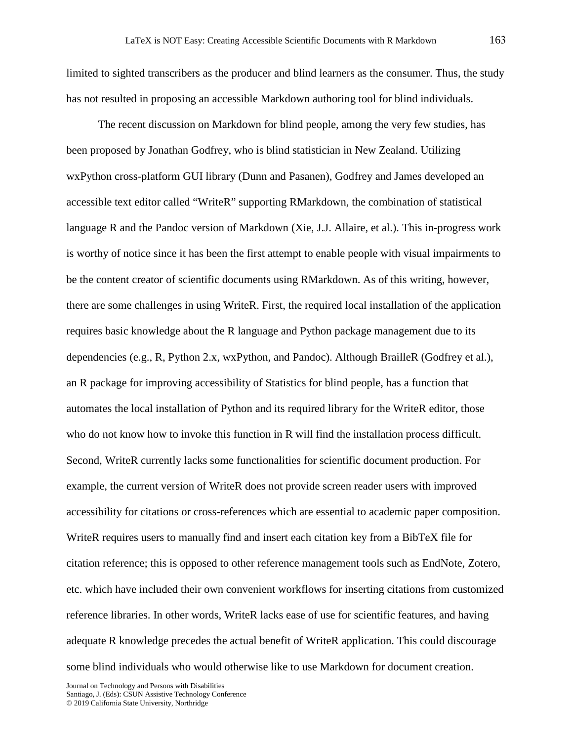limited to sighted transcribers as the producer and blind learners as the consumer. Thus, the study has not resulted in proposing an accessible Markdown authoring tool for blind individuals.

The recent discussion on Markdown for blind people, among the very few studies, has been proposed by Jonathan Godfrey, who is blind statistician in New Zealand. Utilizing wxPython cross-platform GUI library (Dunn and Pasanen), Godfrey and James developed an accessible text editor called "WriteR" supporting RMarkdown, the combination of statistical language R and the Pandoc version of Markdown (Xie, J.J. Allaire, et al.). This in-progress work is worthy of notice since it has been the first attempt to enable people with visual impairments to be the content creator of scientific documents using RMarkdown. As of this writing, however, there are some challenges in using WriteR. First, the required local installation of the application requires basic knowledge about the R language and Python package management due to its dependencies (e.g., R, Python 2.x, wxPython, and Pandoc). Although BrailleR (Godfrey et al.), an R package for improving accessibility of Statistics for blind people, has a function that automates the local installation of Python and its required library for the WriteR editor, those who do not know how to invoke this function in R will find the installation process difficult. Second, WriteR currently lacks some functionalities for scientific document production. For example, the current version of WriteR does not provide screen reader users with improved accessibility for citations or cross-references which are essential to academic paper composition. WriteR requires users to manually find and insert each citation key from a BibTeX file for citation reference; this is opposed to other reference management tools such as EndNote, Zotero, etc. which have included their own convenient workflows for inserting citations from customized reference libraries. In other words, WriteR lacks ease of use for scientific features, and having adequate R knowledge precedes the actual benefit of WriteR application. This could discourage some blind individuals who would otherwise like to use Markdown for document creation.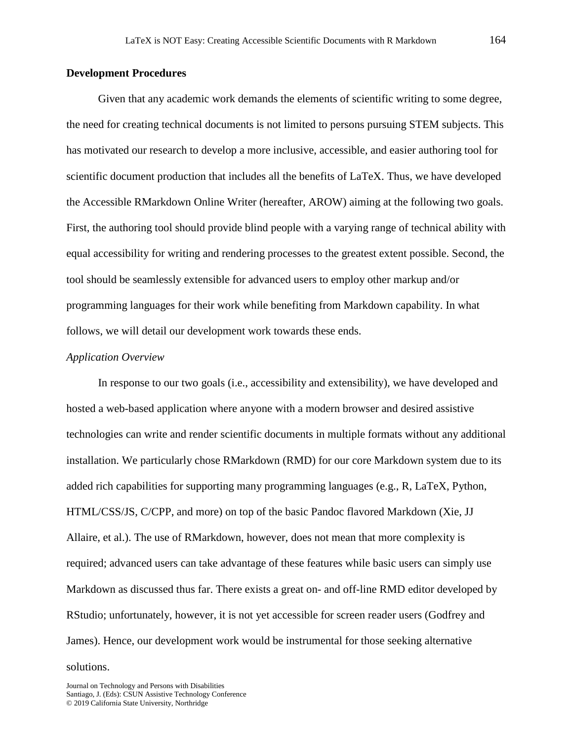# **Development Procedures**

Given that any academic work demands the elements of scientific writing to some degree, the need for creating technical documents is not limited to persons pursuing STEM subjects. This has motivated our research to develop a more inclusive, accessible, and easier authoring tool for scientific document production that includes all the benefits of LaTeX. Thus, we have developed the Accessible RMarkdown Online Writer (hereafter, AROW) aiming at the following two goals. First, the authoring tool should provide blind people with a varying range of technical ability with equal accessibility for writing and rendering processes to the greatest extent possible. Second, the tool should be seamlessly extensible for advanced users to employ other markup and/or programming languages for their work while benefiting from Markdown capability. In what follows, we will detail our development work towards these ends.

#### *Application Overview*

In response to our two goals (i.e., accessibility and extensibility), we have developed and hosted a web-based application where anyone with a modern browser and desired assistive technologies can write and render scientific documents in multiple formats without any additional installation. We particularly chose RMarkdown (RMD) for our core Markdown system due to its added rich capabilities for supporting many programming languages (e.g., R, LaTeX, Python, HTML/CSS/JS, C/CPP, and more) on top of the basic Pandoc flavored Markdown (Xie, JJ Allaire, et al.). The use of RMarkdown, however, does not mean that more complexity is required; advanced users can take advantage of these features while basic users can simply use Markdown as discussed thus far. There exists a great on- and off-line RMD editor developed by RStudio; unfortunately, however, it is not yet accessible for screen reader users (Godfrey and James). Hence, our development work would be instrumental for those seeking alternative

solutions.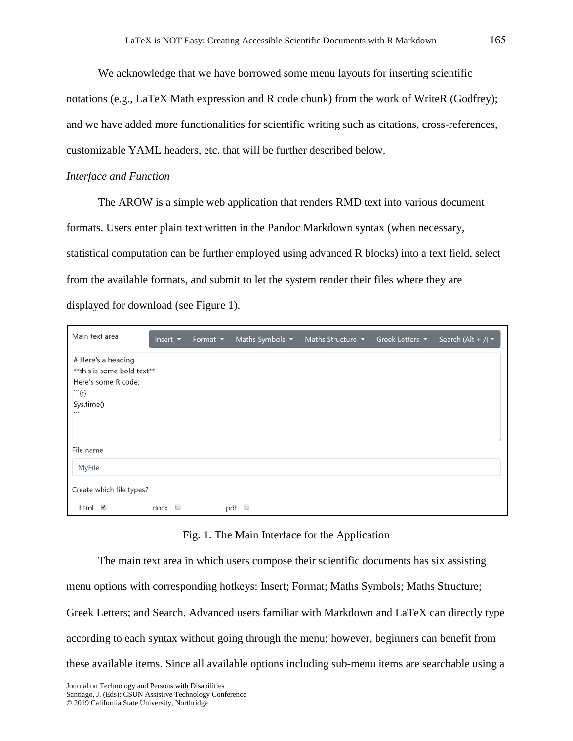We acknowledge that we have borrowed some menu layouts for inserting scientific notations (e.g., LaTeX Math expression and R code chunk) from the work of WriteR (Godfrey); and we have added more functionalities for scientific writing such as citations, cross-references, customizable YAML headers, etc. that will be further described below.

#### *Interface and Function*

The AROW is a simple web application that renders RMD text into various document formats. Users enter plain text written in the Pandoc Markdown syntax (when necessary, statistical computation can be further employed using advanced R blocks) into a text field, select from the available formats, and submit to let the system render their files where they are displayed for download (see Figure 1).

| Main text area                                                                                            | Insert $\blacktriangleright$ | Format $\blacktriangledown$ | Maths Symbols $\blacktriangledown$ | Maths Structure $\blacktriangledown$ | Greek Letters ▼ | Search (Alt + /) $\blacktriangledown$ |  |
|-----------------------------------------------------------------------------------------------------------|------------------------------|-----------------------------|------------------------------------|--------------------------------------|-----------------|---------------------------------------|--|
| # Here's a heading<br>**this is some bold text**<br>Here's some R code:<br>m(r)<br>Sys.time()<br>$\cdots$ |                              |                             |                                    |                                      |                 |                                       |  |
| File name                                                                                                 |                              |                             |                                    |                                      |                 |                                       |  |
| MyFile                                                                                                    |                              |                             |                                    |                                      |                 |                                       |  |
| Create which file types?                                                                                  |                              |                             |                                    |                                      |                 |                                       |  |
| html $\blacksquare$                                                                                       | $\frac{1}{2}$ docx $\Box$    |                             | pdf $\Box$                         |                                      |                 |                                       |  |

# Fig. 1. The Main Interface for the Application

The main text area in which users compose their scientific documents has six assisting menu options with corresponding hotkeys: Insert; Format; Maths Symbols; Maths Structure; Greek Letters; and Search. Advanced users familiar with Markdown and LaTeX can directly type according to each syntax without going through the menu; however, beginners can benefit from these available items. Since all available options including sub-menu items are searchable using a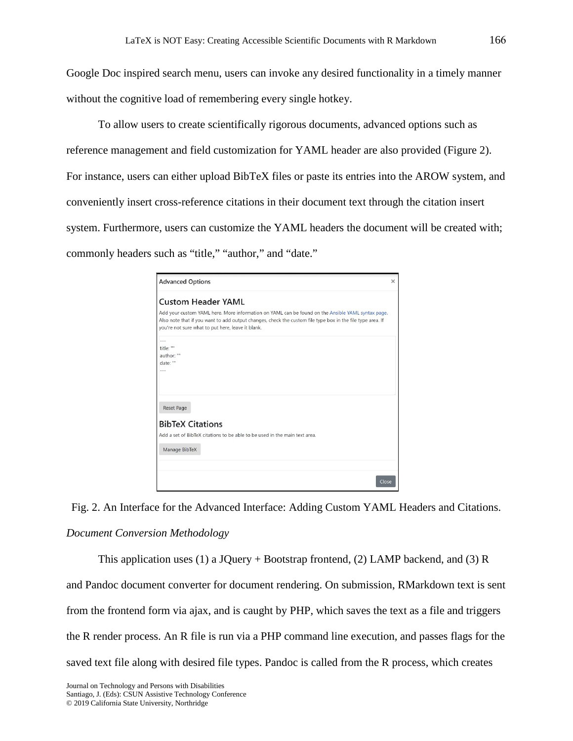Google Doc inspired search menu, users can invoke any desired functionality in a timely manner without the cognitive load of remembering every single hotkey.

To allow users to create scientifically rigorous documents, advanced options such as reference management and field customization for YAML header are also provided (Figure 2). For instance, users can either upload BibTeX files or paste its entries into the AROW system, and conveniently insert cross-reference citations in their document text through the citation insert system. Furthermore, users can customize the YAML headers the document will be created with; commonly headers such as "title," "author," and "date."

| <b>Advanced Options</b>                                                                                                                                                                                                                                              | $\times$ |
|----------------------------------------------------------------------------------------------------------------------------------------------------------------------------------------------------------------------------------------------------------------------|----------|
| <b>Custom Header YAML</b>                                                                                                                                                                                                                                            |          |
| Add your custom YAML here. More information on YAML can be found on the Ansible YAML syntax page.<br>Also note that if you want to add output changes, check the custom file type box in the file type area. If<br>you're not sure what to put here, leave it blank. |          |
| $\cdots$                                                                                                                                                                                                                                                             |          |
| title: ""                                                                                                                                                                                                                                                            |          |
| author: ""<br>date: ""                                                                                                                                                                                                                                               |          |
|                                                                                                                                                                                                                                                                      |          |
| <b>Reset Page</b><br><b>BibTeX Citations</b>                                                                                                                                                                                                                         |          |
| Add a set of BibTeX citations to be able to be used in the main text area.                                                                                                                                                                                           |          |
| Manage BibTeX                                                                                                                                                                                                                                                        |          |
|                                                                                                                                                                                                                                                                      |          |
|                                                                                                                                                                                                                                                                      | Close    |

Fig. 2. An Interface for the Advanced Interface: Adding Custom YAML Headers and Citations. *Document Conversion Methodology* 

This application uses (1) a JQuery + Bootstrap frontend, (2) LAMP backend, and (3) R and Pandoc document converter for document rendering. On submission, RMarkdown text is sent from the frontend form via ajax, and is caught by PHP, which saves the text as a file and triggers the R render process. An R file is run via a PHP command line execution, and passes flags for the saved text file along with desired file types. Pandoc is called from the R process, which creates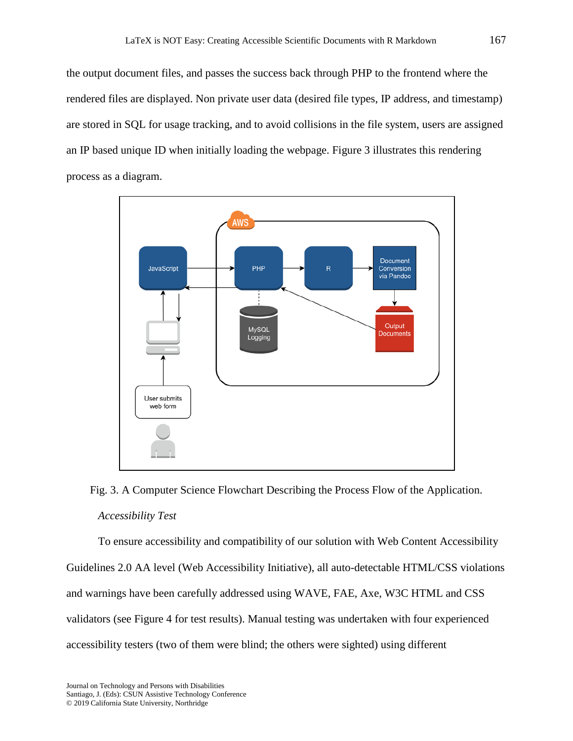the output document files, and passes the success back through PHP to the frontend where the rendered files are displayed. Non private user data (desired file types, IP address, and timestamp) are stored in SQL for usage tracking, and to avoid collisions in the file system, users are assigned an IP based unique ID when initially loading the webpage. Figure 3 illustrates this rendering process as a diagram.



Fig. 3. A Computer Science Flowchart Describing the Process Flow of the Application. *Accessibility Test*

To ensure accessibility and compatibility of our solution with Web Content Accessibility Guidelines 2.0 AA level (Web Accessibility Initiative), all auto-detectable HTML/CSS violations and warnings have been carefully addressed using WAVE, FAE, Axe, W3C HTML and CSS validators (see Figure 4 for test results). Manual testing was undertaken with four experienced accessibility testers (two of them were blind; the others were sighted) using different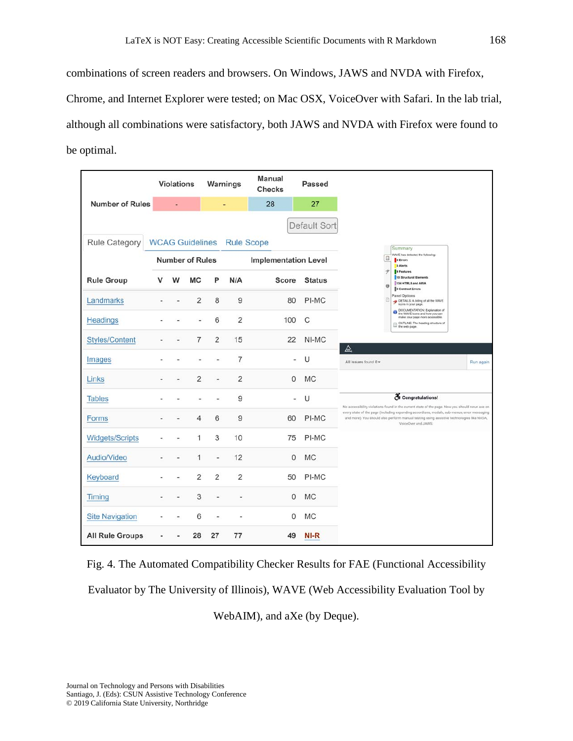combinations of screen readers and browsers. On Windows, JAWS and NVDA with Firefox, Chrome, and Internet Explorer were tested; on Mac OSX, VoiceOver with Safari. In the lab trial, although all combinations were satisfactory, both JAWS and NVDA with Firefox were found to be optimal.

|                        |        | <b>Violations</b>      |                | Warnings       |                                   | Manual<br><b>Checks</b> | Passed        |                                                                                                                                                                                                                 |           |  |
|------------------------|--------|------------------------|----------------|----------------|-----------------------------------|-------------------------|---------------|-----------------------------------------------------------------------------------------------------------------------------------------------------------------------------------------------------------------|-----------|--|
| <b>Number of Rules</b> |        |                        |                |                |                                   | 28                      | 27            |                                                                                                                                                                                                                 |           |  |
|                        |        |                        |                |                |                                   |                         | Default Sort  |                                                                                                                                                                                                                 |           |  |
| Rule Category          |        |                        |                |                | <b>WCAG Guidelines</b> Rule Scope |                         |               | Summary                                                                                                                                                                                                         |           |  |
|                        |        | <b>Number of Rules</b> |                |                | <b>Implementation Level</b>       |                         |               | WAVE has detected the following:<br>Ω<br><b>O</b> firrors<br><b>O</b> Alerts                                                                                                                                    |           |  |
| <b>Rule Group</b>      | w<br>v |                        | МC             | P              | N/A                               | Score                   | <b>Status</b> | 9 Features<br>Ÿ.<br>10 Structural Elements<br>134 HTML5 and ARIA<br>$\Theta$<br>O Contrast Errors                                                                                                               |           |  |
| Landmarks              |        |                        | $\overline{2}$ | 8              | 9                                 | 80                      | PI-MC         | <b>Panel Options</b><br>12<br>DETAILS: A listing of all the WAVE<br>icons in your page.                                                                                                                         |           |  |
| Headings               |        |                        |                | 6              | $\overline{2}$                    | 100                     | C             | OCCUMENTATION: Explanation of<br>the WAVE icons and how you can<br>make your page more accessible.<br>OUTLINE: The heading structure of<br>the web page.                                                        |           |  |
| <b>Styles/Content</b>  |        |                        | 7              | $\overline{2}$ | 15                                | 22                      | NI-MC         | ◬                                                                                                                                                                                                               |           |  |
| Images                 |        |                        |                |                | 7                                 |                         | U             | All issues found 0 +                                                                                                                                                                                            | Run again |  |
| Links                  |        |                        | 2              |                | $\overline{2}$                    | $\mathbf{0}$            | <b>MC</b>     |                                                                                                                                                                                                                 |           |  |
| <b>Tables</b>          |        |                        |                |                | 9                                 | œ.                      | U             | & Congratulations!<br>No accessibility violations found in the current state of the page. Now you should rerun axe on                                                                                           |           |  |
| Forms                  |        |                        | 4              | 6              | 9                                 | 60                      | PI-MC         | every state of the page (including expanding accordians, modals, sub-menus, error messaging<br>and more). You should also perform manual testing using assistive technologies like NVDA,<br>VoiceOver and JAWS. |           |  |
| Widgets/Scripts        |        |                        | 1              | 3              | 10                                | 75                      | PI-MC         |                                                                                                                                                                                                                 |           |  |
| Audio/Video            |        |                        | 1              |                | 12                                | $\mathbf{0}$            | <b>MC</b>     |                                                                                                                                                                                                                 |           |  |
| Keyboard               |        |                        | $\overline{2}$ | $\overline{2}$ | $\overline{2}$                    | 50                      | PI-MC         |                                                                                                                                                                                                                 |           |  |
| Timing                 |        |                        | 3              |                |                                   | $\mathbf{0}$            | <b>MC</b>     |                                                                                                                                                                                                                 |           |  |
| <b>Site Navigation</b> |        |                        | 6              |                |                                   | $\Omega$                | <b>MC</b>     |                                                                                                                                                                                                                 |           |  |
| <b>All Rule Groups</b> |        |                        | 28             | 27             | 77                                | 49                      | NI-R          |                                                                                                                                                                                                                 |           |  |

Fig. 4. The Automated Compatibility Checker Results for FAE (Functional Accessibility

Evaluator by The University of Illinois), WAVE (Web Accessibility Evaluation Tool by

WebAIM), and aXe (by Deque).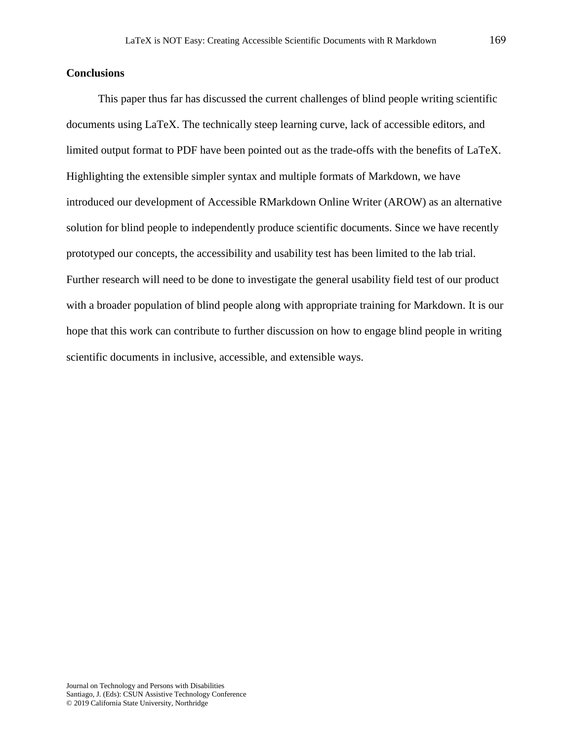### **Conclusions**

This paper thus far has discussed the current challenges of blind people writing scientific documents using LaTeX. The technically steep learning curve, lack of accessible editors, and limited output format to PDF have been pointed out as the trade-offs with the benefits of LaTeX. Highlighting the extensible simpler syntax and multiple formats of Markdown, we have introduced our development of Accessible RMarkdown Online Writer (AROW) as an alternative solution for blind people to independently produce scientific documents. Since we have recently prototyped our concepts, the accessibility and usability test has been limited to the lab trial. Further research will need to be done to investigate the general usability field test of our product with a broader population of blind people along with appropriate training for Markdown. It is our hope that this work can contribute to further discussion on how to engage blind people in writing scientific documents in inclusive, accessible, and extensible ways.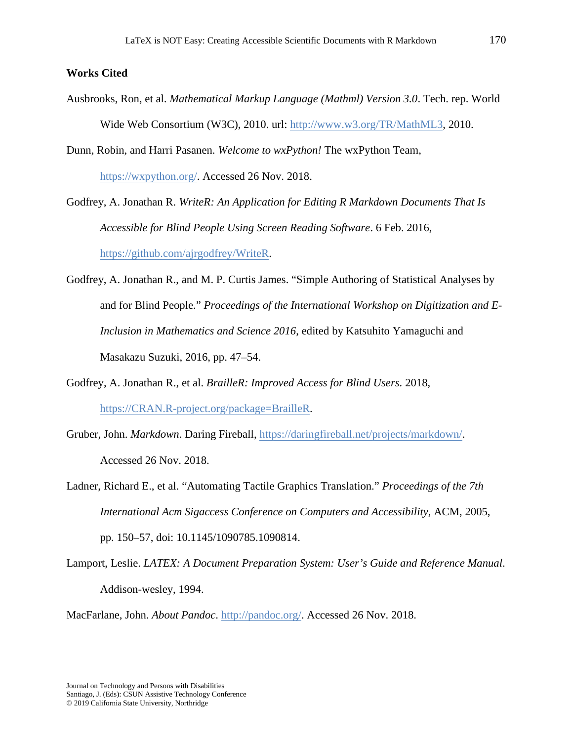## **Works Cited**

- Ausbrooks, Ron, et al. *Mathematical Markup Language (Mathml) Version 3.0*. Tech. rep. World Wide Web Consortium (W3C), 2010. url: [http://www.w3.org/TR/MathML3,](http://www.w3.org/TR/MathML3) 2010.
- Dunn, Robin, and Harri Pasanen. *Welcome to wxPython!* The wxPython Team, [https://wxpython.org/.](https://wxpython.org/) Accessed 26 Nov. 2018.

Godfrey, A. Jonathan R. *WriteR: An Application for Editing R Markdown Documents That Is Accessible for Blind People Using Screen Reading Software*. 6 Feb. 2016, [https://github.com/ajrgodfrey/WriteR.](https://github.com/ajrgodfrey/WriteR)

- Godfrey, A. Jonathan R., and M. P. Curtis James. "Simple Authoring of Statistical Analyses by and for Blind People." *Proceedings of the International Workshop on Digitization and E-Inclusion in Mathematics and Science 2016*, edited by Katsuhito Yamaguchi and Masakazu Suzuki, 2016, pp. 47–54.
- Godfrey, A. Jonathan R., et al. *BrailleR: Improved Access for Blind Users*. 2018, [https://CRAN.R-project.org/package=BrailleR.](https://cran.r-project.org/package=BrailleR)
- Gruber, John. *Markdown*. Daring Fireball, [https://daringfireball.net/projects/markdown/.](https://daringfireball.net/projects/markdown/) Accessed 26 Nov. 2018.
- Ladner, Richard E., et al. "Automating Tactile Graphics Translation." *Proceedings of the 7th International Acm Sigaccess Conference on Computers and Accessibility*, ACM, 2005, pp. 150–57, doi: 10.1145/1090785.1090814.
- Lamport, Leslie. *LATEX: A Document Preparation System: User's Guide and Reference Manual*. Addison-wesley, 1994.

MacFarlane, John. *About Pandoc*. [http://pandoc.org/.](http://pandoc.org/) Accessed 26 Nov. 2018.